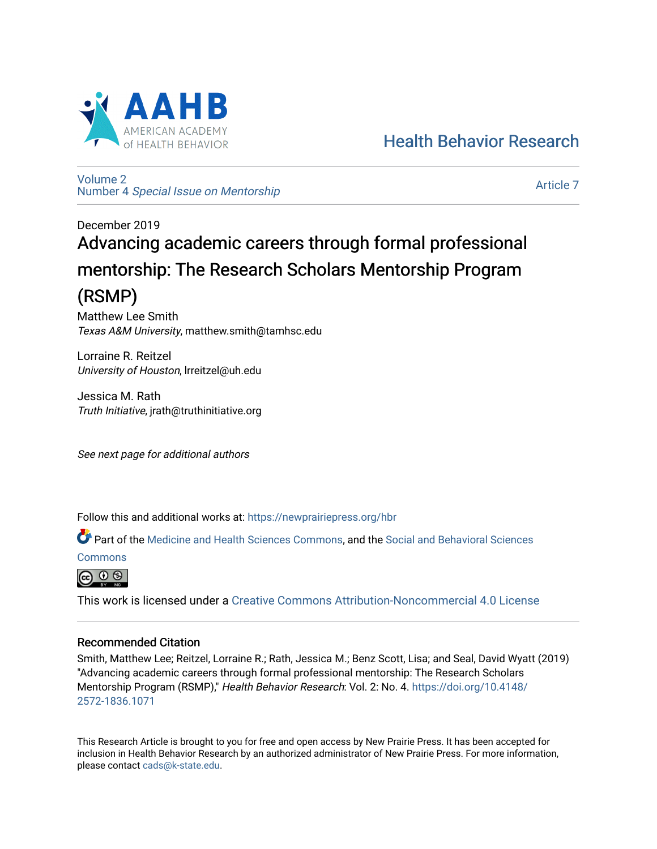

[Health Behavior Research](https://newprairiepress.org/hbr) 

[Volume 2](https://newprairiepress.org/hbr/vol2) Number 4 [Special Issue on Mentorship](https://newprairiepress.org/hbr/vol2/iss4) 

[Article 7](https://newprairiepress.org/hbr/vol2/iss4/7) 

# December 2019 Advancing academic careers through formal professional mentorship: The Research Scholars Mentorship Program (RSMP)

Matthew Lee Smith Texas A&M University, matthew.smith@tamhsc.edu

Lorraine R. Reitzel University of Houston, lrreitzel@uh.edu

Jessica M. Rath Truth Initiative, jrath@truthinitiative.org

See next page for additional authors

Follow this and additional works at: [https://newprairiepress.org/hbr](https://newprairiepress.org/hbr?utm_source=newprairiepress.org%2Fhbr%2Fvol2%2Fiss4%2F7&utm_medium=PDF&utm_campaign=PDFCoverPages) 

Part of the [Medicine and Health Sciences Commons,](http://network.bepress.com/hgg/discipline/648?utm_source=newprairiepress.org%2Fhbr%2Fvol2%2Fiss4%2F7&utm_medium=PDF&utm_campaign=PDFCoverPages) and the [Social and Behavioral Sciences](http://network.bepress.com/hgg/discipline/316?utm_source=newprairiepress.org%2Fhbr%2Fvol2%2Fiss4%2F7&utm_medium=PDF&utm_campaign=PDFCoverPages)

[Commons](http://network.bepress.com/hgg/discipline/316?utm_source=newprairiepress.org%2Fhbr%2Fvol2%2Fiss4%2F7&utm_medium=PDF&utm_campaign=PDFCoverPages)



This work is licensed under a [Creative Commons Attribution-Noncommercial 4.0 License](https://creativecommons.org/licenses/by-nc/4.0/)

# Recommended Citation

Smith, Matthew Lee; Reitzel, Lorraine R.; Rath, Jessica M.; Benz Scott, Lisa; and Seal, David Wyatt (2019) "Advancing academic careers through formal professional mentorship: The Research Scholars Mentorship Program (RSMP)," Health Behavior Research: Vol. 2: No. 4. [https://doi.org/10.4148/](https://doi.org/10.4148/2572-1836.1071) [2572-1836.1071](https://doi.org/10.4148/2572-1836.1071) 

This Research Article is brought to you for free and open access by New Prairie Press. It has been accepted for inclusion in Health Behavior Research by an authorized administrator of New Prairie Press. For more information, please contact [cads@k-state.edu.](mailto:cads@k-state.edu)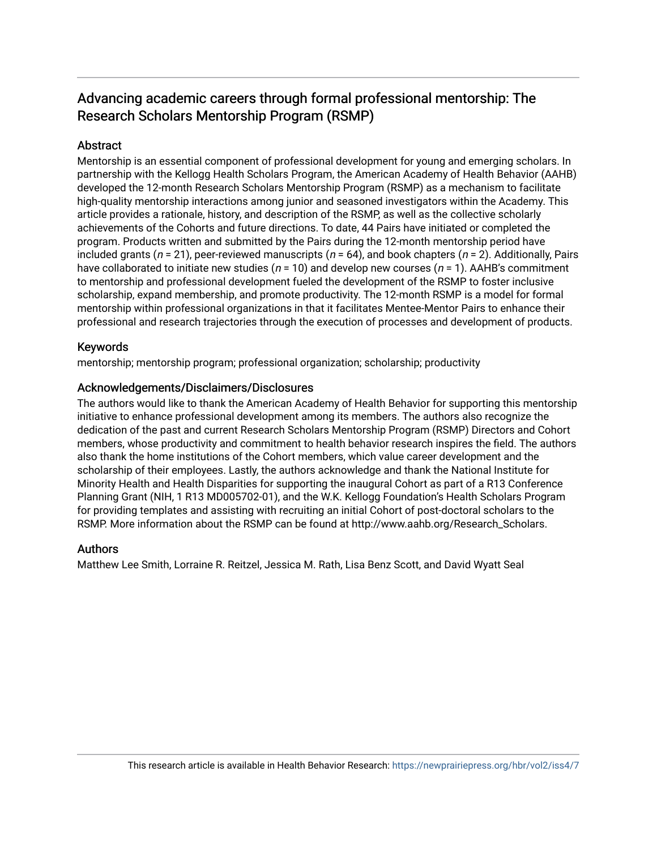# Advancing academic careers through formal professional mentorship: The Research Scholars Mentorship Program (RSMP)

# **Abstract**

Mentorship is an essential component of professional development for young and emerging scholars. In partnership with the Kellogg Health Scholars Program, the American Academy of Health Behavior (AAHB) developed the 12-month Research Scholars Mentorship Program (RSMP) as a mechanism to facilitate high-quality mentorship interactions among junior and seasoned investigators within the Academy. This article provides a rationale, history, and description of the RSMP, as well as the collective scholarly achievements of the Cohorts and future directions. To date, 44 Pairs have initiated or completed the program. Products written and submitted by the Pairs during the 12-month mentorship period have included grants ( $n = 21$ ), peer-reviewed manuscripts ( $n = 64$ ), and book chapters ( $n = 2$ ). Additionally, Pairs have collaborated to initiate new studies ( $n = 10$ ) and develop new courses ( $n = 1$ ). AAHB's commitment to mentorship and professional development fueled the development of the RSMP to foster inclusive scholarship, expand membership, and promote productivity. The 12-month RSMP is a model for formal mentorship within professional organizations in that it facilitates Mentee-Mentor Pairs to enhance their professional and research trajectories through the execution of processes and development of products.

# Keywords

mentorship; mentorship program; professional organization; scholarship; productivity

# Acknowledgements/Disclaimers/Disclosures

The authors would like to thank the American Academy of Health Behavior for supporting this mentorship initiative to enhance professional development among its members. The authors also recognize the dedication of the past and current Research Scholars Mentorship Program (RSMP) Directors and Cohort members, whose productivity and commitment to health behavior research inspires the field. The authors also thank the home institutions of the Cohort members, which value career development and the scholarship of their employees. Lastly, the authors acknowledge and thank the National Institute for Minority Health and Health Disparities for supporting the inaugural Cohort as part of a R13 Conference Planning Grant (NIH, 1 R13 MD005702-01), and the W.K. Kellogg Foundation's Health Scholars Program for providing templates and assisting with recruiting an initial Cohort of post-doctoral scholars to the RSMP. More information about the RSMP can be found at http://www.aahb.org/Research\_Scholars.

# Authors

Matthew Lee Smith, Lorraine R. Reitzel, Jessica M. Rath, Lisa Benz Scott, and David Wyatt Seal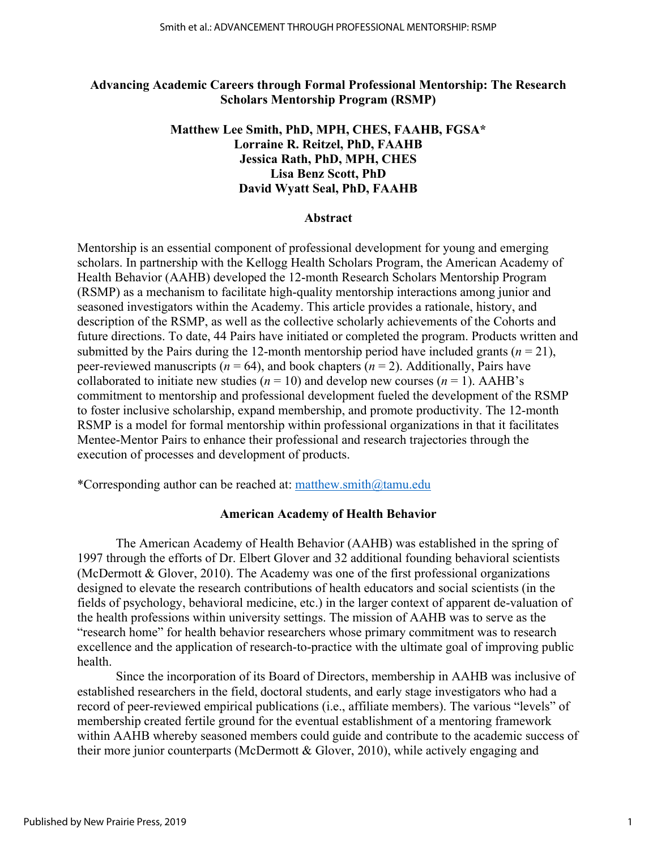# **Advancing Academic Careers through Formal Professional Mentorship: The Research Scholars Mentorship Program (RSMP)**

# **Matthew Lee Smith, PhD, MPH, CHES, FAAHB, FGSA\* Lorraine R. Reitzel, PhD, FAAHB Jessica Rath, PhD, MPH, CHES Lisa Benz Scott, PhD David Wyatt Seal, PhD, FAAHB**

#### **Abstract**

Mentorship is an essential component of professional development for young and emerging scholars. In partnership with the Kellogg Health Scholars Program, the American Academy of Health Behavior (AAHB) developed the 12-month Research Scholars Mentorship Program (RSMP) as a mechanism to facilitate high-quality mentorship interactions among junior and seasoned investigators within the Academy. This article provides a rationale, history, and description of the RSMP, as well as the collective scholarly achievements of the Cohorts and future directions. To date, 44 Pairs have initiated or completed the program. Products written and submitted by the Pairs during the 12-month mentorship period have included grants  $(n = 21)$ , peer-reviewed manuscripts ( $n = 64$ ), and book chapters ( $n = 2$ ). Additionally, Pairs have collaborated to initiate new studies ( $n = 10$ ) and develop new courses ( $n = 1$ ). AAHB's commitment to mentorship and professional development fueled the development of the RSMP to foster inclusive scholarship, expand membership, and promote productivity. The 12-month RSMP is a model for formal mentorship within professional organizations in that it facilitates Mentee-Mentor Pairs to enhance their professional and research trajectories through the execution of processes and development of products.

\*Corresponding author can be reached at: matthew.smith $@$ tamu.edu

# **American Academy of Health Behavior**

The American Academy of Health Behavior (AAHB) was established in the spring of 1997 through the efforts of Dr. Elbert Glover and 32 additional founding behavioral scientists (McDermott & Glover, 2010). The Academy was one of the first professional organizations designed to elevate the research contributions of health educators and social scientists (in the fields of psychology, behavioral medicine, etc.) in the larger context of apparent de-valuation of the health professions within university settings. The mission of AAHB was to serve as the "research home" for health behavior researchers whose primary commitment was to research excellence and the application of research-to-practice with the ultimate goal of improving public health.

Since the incorporation of its Board of Directors, membership in AAHB was inclusive of established researchers in the field, doctoral students, and early stage investigators who had a record of peer-reviewed empirical publications (i.e., affiliate members). The various "levels" of membership created fertile ground for the eventual establishment of a mentoring framework within AAHB whereby seasoned members could guide and contribute to the academic success of their more junior counterparts (McDermott & Glover, 2010), while actively engaging and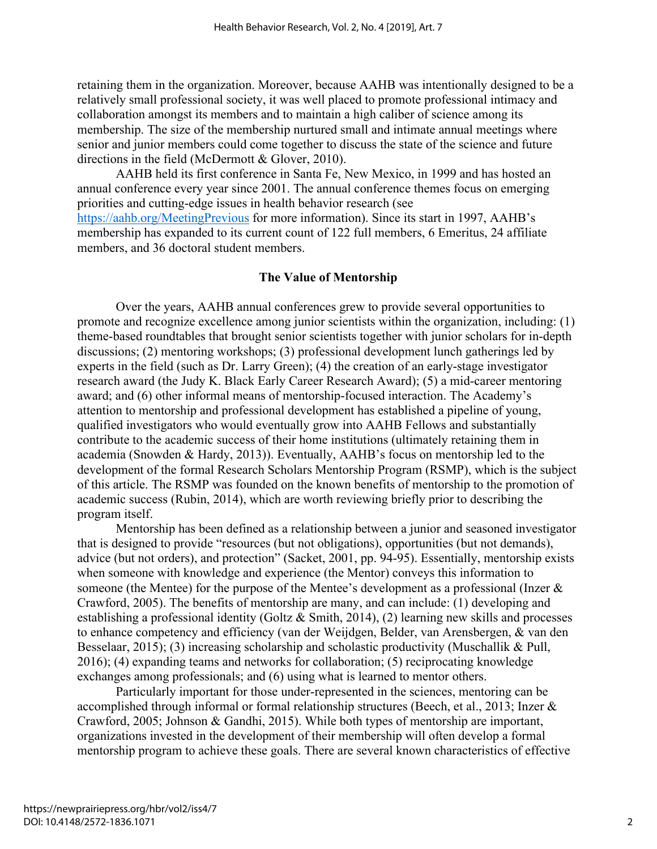retaining them in the organization. Moreover, because AAHB was intentionally designed to be a relatively small professional society, it was well placed to promote professional intimacy and collaboration amongst its members and to maintain a high caliber of science among its membership. The size of the membership nurtured small and intimate annual meetings where senior and junior members could come together to discuss the state of the science and future directions in the field (McDermott & Glover, 2010).

AAHB held its first conference in Santa Fe, New Mexico, in 1999 and has hosted an annual conference every year since 2001. The annual conference themes focus on emerging priorities and cutting-edge issues in health behavior research (see <https://aahb.org/MeetingPrevious> for more information). Since its start in 1997, AAHB's membership has expanded to its current count of 122 full members, 6 Emeritus, 24 affiliate members, and 36 doctoral student members.

#### **The Value of Mentorship**

 Over the years, AAHB annual conferences grew to provide several opportunities to promote and recognize excellence among junior scientists within the organization, including: (1) theme-based roundtables that brought senior scientists together with junior scholars for in-depth discussions; (2) mentoring workshops; (3) professional development lunch gatherings led by experts in the field (such as Dr. Larry Green); (4) the creation of an early-stage investigator research award (the Judy K. Black Early Career Research Award); (5) a mid-career mentoring award; and (6) other informal means of mentorship-focused interaction. The Academy's attention to mentorship and professional development has established a pipeline of young, qualified investigators who would eventually grow into AAHB Fellows and substantially contribute to the academic success of their home institutions (ultimately retaining them in academia (Snowden & Hardy, 2013)). Eventually, AAHB's focus on mentorship led to the development of the formal Research Scholars Mentorship Program (RSMP), which is the subject of this article. The RSMP was founded on the known benefits of mentorship to the promotion of academic success (Rubin, 2014), which are worth reviewing briefly prior to describing the program itself.

 Mentorship has been defined as a relationship between a junior and seasoned investigator that is designed to provide "resources (but not obligations), opportunities (but not demands), advice (but not orders), and protection" (Sacket, 2001, pp. 94-95). Essentially, mentorship exists when someone with knowledge and experience (the Mentor) conveys this information to someone (the Mentee) for the purpose of the Mentee's development as a professional (Inzer & Crawford, 2005). The benefits of mentorship are many, and can include: (1) developing and establishing a professional identity (Goltz & Smith, 2014), (2) learning new skills and processes to enhance competency and efficiency (van der Weijdgen, Belder, van Arensbergen, & van den Besselaar, 2015); (3) increasing scholarship and scholastic productivity (Muschallik & Pull, 2016); (4) expanding teams and networks for collaboration; (5) reciprocating knowledge exchanges among professionals; and (6) using what is learned to mentor others.

Particularly important for those under-represented in the sciences, mentoring can be accomplished through informal or formal relationship structures (Beech, et al., 2013; Inzer & Crawford, 2005; Johnson & Gandhi, 2015). While both types of mentorship are important, organizations invested in the development of their membership will often develop a formal mentorship program to achieve these goals. There are several known characteristics of effective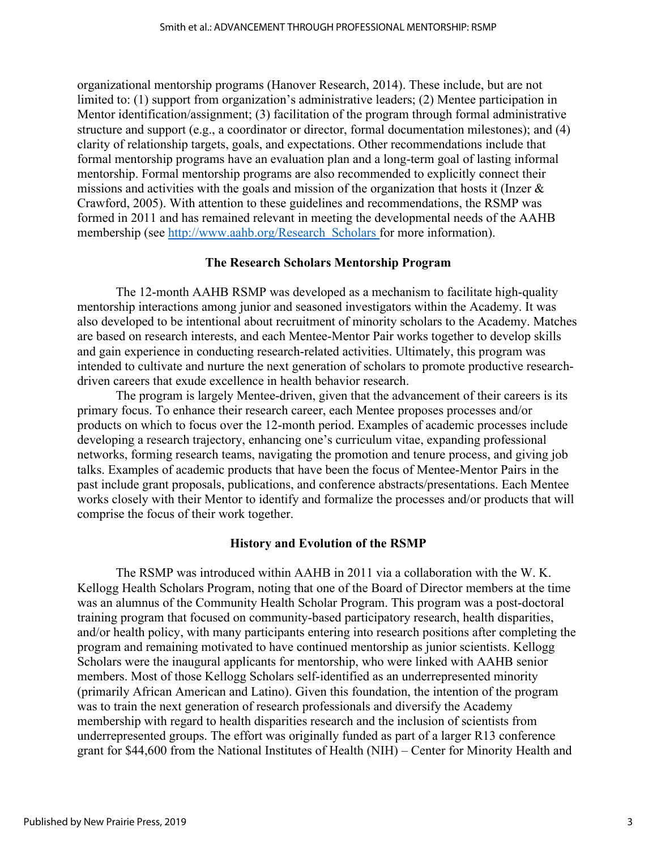organizational mentorship programs (Hanover Research, 2014). These include, but are not limited to: (1) support from organization's administrative leaders; (2) Mentee participation in Mentor identification/assignment; (3) facilitation of the program through formal administrative structure and support (e.g., a coordinator or director, formal documentation milestones); and (4) clarity of relationship targets, goals, and expectations. Other recommendations include that formal mentorship programs have an evaluation plan and a long-term goal of lasting informal mentorship. Formal mentorship programs are also recommended to explicitly connect their missions and activities with the goals and mission of the organization that hosts it (Inzer & Crawford, 2005). With attention to these guidelines and recommendations, the RSMP was formed in 2011 and has remained relevant in meeting the developmental needs of the AAHB membership (see [http://www.aahb.org/Research\\_Scholars](http://www.aahb.org/Research_Scholars) for more information).

#### **The Research Scholars Mentorship Program**

The 12-month AAHB RSMP was developed as a mechanism to facilitate high-quality mentorship interactions among junior and seasoned investigators within the Academy. It was also developed to be intentional about recruitment of minority scholars to the Academy. Matches are based on research interests, and each Mentee-Mentor Pair works together to develop skills and gain experience in conducting research-related activities. Ultimately, this program was intended to cultivate and nurture the next generation of scholars to promote productive researchdriven careers that exude excellence in health behavior research.

The program is largely Mentee-driven, given that the advancement of their careers is its primary focus. To enhance their research career, each Mentee proposes processes and/or products on which to focus over the 12-month period. Examples of academic processes include developing a research trajectory, enhancing one's curriculum vitae, expanding professional networks, forming research teams, navigating the promotion and tenure process, and giving job talks. Examples of academic products that have been the focus of Mentee-Mentor Pairs in the past include grant proposals, publications, and conference abstracts/presentations. Each Mentee works closely with their Mentor to identify and formalize the processes and/or products that will comprise the focus of their work together.

#### **History and Evolution of the RSMP**

The RSMP was introduced within AAHB in 2011 via a collaboration with the W. K. Kellogg Health Scholars Program, noting that one of the Board of Director members at the time was an alumnus of the Community Health Scholar Program. This program was a post-doctoral training program that focused on community-based participatory research, health disparities, and/or health policy, with many participants entering into research positions after completing the program and remaining motivated to have continued mentorship as junior scientists. Kellogg Scholars were the inaugural applicants for mentorship, who were linked with AAHB senior members. Most of those Kellogg Scholars self-identified as an underrepresented minority (primarily African American and Latino). Given this foundation, the intention of the program was to train the next generation of research professionals and diversify the Academy membership with regard to health disparities research and the inclusion of scientists from underrepresented groups. The effort was originally funded as part of a larger R13 conference grant for \$44,600 from the National Institutes of Health (NIH) – Center for Minority Health and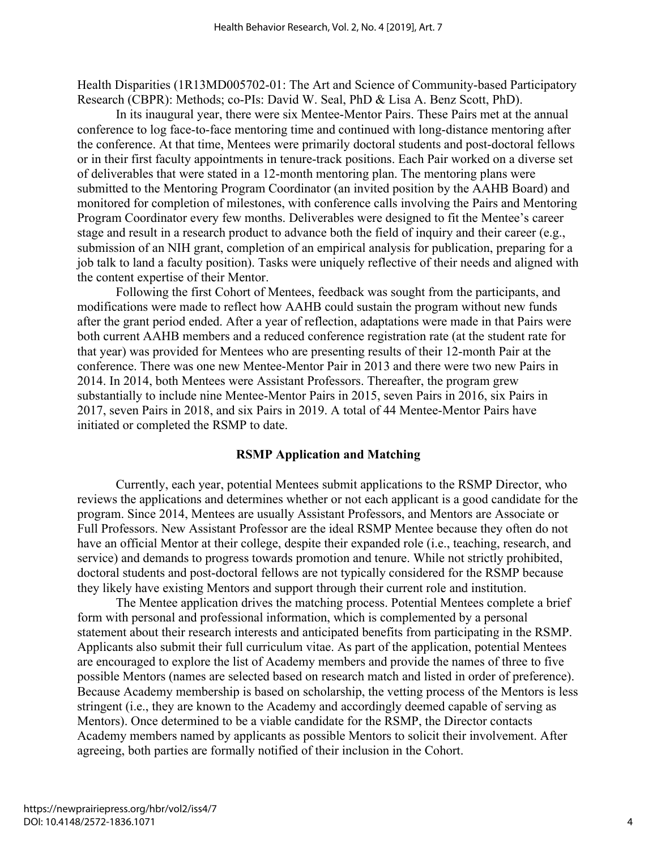Health Disparities (1R13MD005702-01: The Art and Science of Community-based Participatory Research (CBPR): Methods; co-PIs: David W. Seal, PhD & Lisa A. Benz Scott, PhD).

In its inaugural year, there were six Mentee-Mentor Pairs. These Pairs met at the annual conference to log face-to-face mentoring time and continued with long-distance mentoring after the conference. At that time, Mentees were primarily doctoral students and post-doctoral fellows or in their first faculty appointments in tenure-track positions. Each Pair worked on a diverse set of deliverables that were stated in a 12-month mentoring plan. The mentoring plans were submitted to the Mentoring Program Coordinator (an invited position by the AAHB Board) and monitored for completion of milestones, with conference calls involving the Pairs and Mentoring Program Coordinator every few months. Deliverables were designed to fit the Mentee's career stage and result in a research product to advance both the field of inquiry and their career (e.g., submission of an NIH grant, completion of an empirical analysis for publication, preparing for a job talk to land a faculty position). Tasks were uniquely reflective of their needs and aligned with the content expertise of their Mentor.

Following the first Cohort of Mentees, feedback was sought from the participants, and modifications were made to reflect how AAHB could sustain the program without new funds after the grant period ended. After a year of reflection, adaptations were made in that Pairs were both current AAHB members and a reduced conference registration rate (at the student rate for that year) was provided for Mentees who are presenting results of their 12-month Pair at the conference. There was one new Mentee-Mentor Pair in 2013 and there were two new Pairs in 2014. In 2014, both Mentees were Assistant Professors. Thereafter, the program grew substantially to include nine Mentee-Mentor Pairs in 2015, seven Pairs in 2016, six Pairs in 2017, seven Pairs in 2018, and six Pairs in 2019. A total of 44 Mentee-Mentor Pairs have initiated or completed the RSMP to date.

#### **RSMP Application and Matching**

Currently, each year, potential Mentees submit applications to the RSMP Director, who reviews the applications and determines whether or not each applicant is a good candidate for the program. Since 2014, Mentees are usually Assistant Professors, and Mentors are Associate or Full Professors. New Assistant Professor are the ideal RSMP Mentee because they often do not have an official Mentor at their college, despite their expanded role (i.e., teaching, research, and service) and demands to progress towards promotion and tenure. While not strictly prohibited, doctoral students and post-doctoral fellows are not typically considered for the RSMP because they likely have existing Mentors and support through their current role and institution.

The Mentee application drives the matching process. Potential Mentees complete a brief form with personal and professional information, which is complemented by a personal statement about their research interests and anticipated benefits from participating in the RSMP. Applicants also submit their full curriculum vitae. As part of the application, potential Mentees are encouraged to explore the list of Academy members and provide the names of three to five possible Mentors (names are selected based on research match and listed in order of preference). Because Academy membership is based on scholarship, the vetting process of the Mentors is less stringent (i.e., they are known to the Academy and accordingly deemed capable of serving as Mentors). Once determined to be a viable candidate for the RSMP, the Director contacts Academy members named by applicants as possible Mentors to solicit their involvement. After agreeing, both parties are formally notified of their inclusion in the Cohort.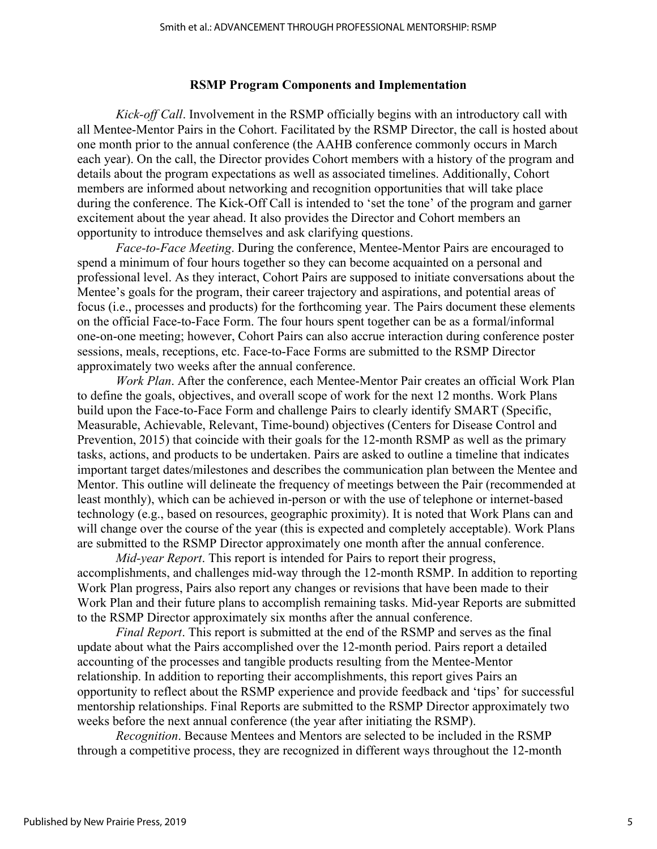# **RSMP Program Components and Implementation**

*Kick-off Call*. Involvement in the RSMP officially begins with an introductory call with all Mentee-Mentor Pairs in the Cohort. Facilitated by the RSMP Director, the call is hosted about one month prior to the annual conference (the AAHB conference commonly occurs in March each year). On the call, the Director provides Cohort members with a history of the program and details about the program expectations as well as associated timelines. Additionally, Cohort members are informed about networking and recognition opportunities that will take place during the conference. The Kick-Off Call is intended to 'set the tone' of the program and garner excitement about the year ahead. It also provides the Director and Cohort members an opportunity to introduce themselves and ask clarifying questions.

*Face-to-Face Meeting*. During the conference, Mentee-Mentor Pairs are encouraged to spend a minimum of four hours together so they can become acquainted on a personal and professional level. As they interact, Cohort Pairs are supposed to initiate conversations about the Mentee's goals for the program, their career trajectory and aspirations, and potential areas of focus (i.e., processes and products) for the forthcoming year. The Pairs document these elements on the official Face-to-Face Form. The four hours spent together can be as a formal/informal one-on-one meeting; however, Cohort Pairs can also accrue interaction during conference poster sessions, meals, receptions, etc. Face-to-Face Forms are submitted to the RSMP Director approximately two weeks after the annual conference.

*Work Plan*. After the conference, each Mentee-Mentor Pair creates an official Work Plan to define the goals, objectives, and overall scope of work for the next 12 months. Work Plans build upon the Face-to-Face Form and challenge Pairs to clearly identify SMART (Specific, Measurable, Achievable, Relevant, Time-bound) objectives (Centers for Disease Control and Prevention, 2015) that coincide with their goals for the 12-month RSMP as well as the primary tasks, actions, and products to be undertaken. Pairs are asked to outline a timeline that indicates important target dates/milestones and describes the communication plan between the Mentee and Mentor. This outline will delineate the frequency of meetings between the Pair (recommended at least monthly), which can be achieved in-person or with the use of telephone or internet-based technology (e.g., based on resources, geographic proximity). It is noted that Work Plans can and will change over the course of the year (this is expected and completely acceptable). Work Plans are submitted to the RSMP Director approximately one month after the annual conference.

*Mid-year Report*. This report is intended for Pairs to report their progress, accomplishments, and challenges mid-way through the 12-month RSMP. In addition to reporting Work Plan progress, Pairs also report any changes or revisions that have been made to their Work Plan and their future plans to accomplish remaining tasks. Mid-year Reports are submitted to the RSMP Director approximately six months after the annual conference.

*Final Report*. This report is submitted at the end of the RSMP and serves as the final update about what the Pairs accomplished over the 12-month period. Pairs report a detailed accounting of the processes and tangible products resulting from the Mentee-Mentor relationship. In addition to reporting their accomplishments, this report gives Pairs an opportunity to reflect about the RSMP experience and provide feedback and 'tips' for successful mentorship relationships. Final Reports are submitted to the RSMP Director approximately two weeks before the next annual conference (the year after initiating the RSMP).

*Recognition*. Because Mentees and Mentors are selected to be included in the RSMP through a competitive process, they are recognized in different ways throughout the 12-month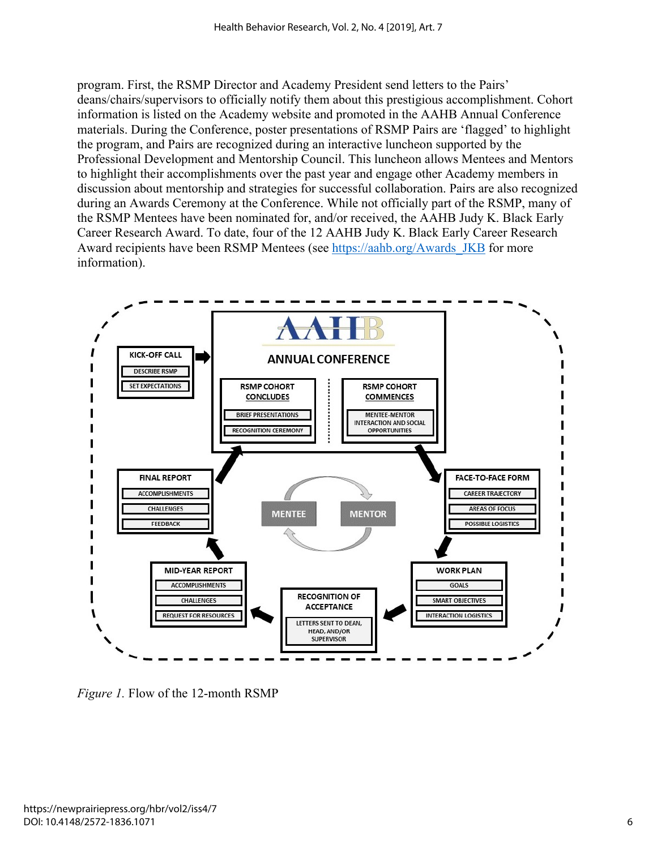program. First, the RSMP Director and Academy President send letters to the Pairs' deans/chairs/supervisors to officially notify them about this prestigious accomplishment. Cohort information is listed on the Academy website and promoted in the AAHB Annual Conference materials. During the Conference, poster presentations of RSMP Pairs are 'flagged' to highlight the program, and Pairs are recognized during an interactive luncheon supported by the Professional Development and Mentorship Council. This luncheon allows Mentees and Mentors to highlight their accomplishments over the past year and engage other Academy members in discussion about mentorship and strategies for successful collaboration. Pairs are also recognized during an Awards Ceremony at the Conference. While not officially part of the RSMP, many of the RSMP Mentees have been nominated for, and/or received, the AAHB Judy K. Black Early Career Research Award. To date, four of the 12 AAHB Judy K. Black Early Career Research Award recipients have been RSMP Mentees (see [https://aahb.org/Awards\\_JKB](https://aahb.org/Awards_JKB) for more information).



*Figure 1.* Flow of the 12-month RSMP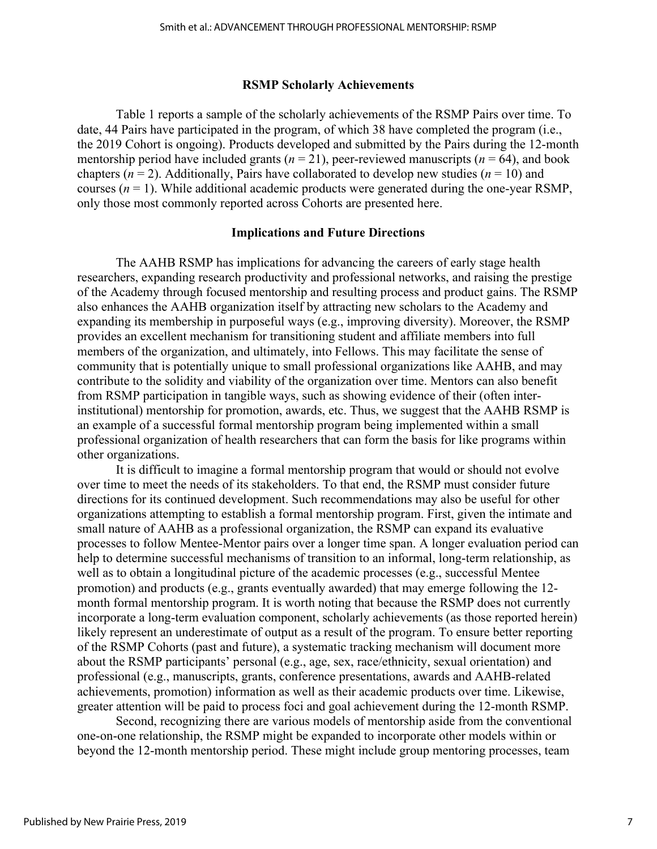#### **RSMP Scholarly Achievements**

Table 1 reports a sample of the scholarly achievements of the RSMP Pairs over time. To date, 44 Pairs have participated in the program, of which 38 have completed the program (i.e., the 2019 Cohort is ongoing). Products developed and submitted by the Pairs during the 12-month mentorship period have included grants  $(n = 21)$ , peer-reviewed manuscripts  $(n = 64)$ , and book chapters ( $n = 2$ ). Additionally, Pairs have collaborated to develop new studies ( $n = 10$ ) and courses  $(n = 1)$ . While additional academic products were generated during the one-year RSMP, only those most commonly reported across Cohorts are presented here.

#### **Implications and Future Directions**

The AAHB RSMP has implications for advancing the careers of early stage health researchers, expanding research productivity and professional networks, and raising the prestige of the Academy through focused mentorship and resulting process and product gains. The RSMP also enhances the AAHB organization itself by attracting new scholars to the Academy and expanding its membership in purposeful ways (e.g., improving diversity). Moreover, the RSMP provides an excellent mechanism for transitioning student and affiliate members into full members of the organization, and ultimately, into Fellows. This may facilitate the sense of community that is potentially unique to small professional organizations like AAHB, and may contribute to the solidity and viability of the organization over time. Mentors can also benefit from RSMP participation in tangible ways, such as showing evidence of their (often interinstitutional) mentorship for promotion, awards, etc. Thus, we suggest that the AAHB RSMP is an example of a successful formal mentorship program being implemented within a small professional organization of health researchers that can form the basis for like programs within other organizations.

It is difficult to imagine a formal mentorship program that would or should not evolve over time to meet the needs of its stakeholders. To that end, the RSMP must consider future directions for its continued development. Such recommendations may also be useful for other organizations attempting to establish a formal mentorship program. First, given the intimate and small nature of AAHB as a professional organization, the RSMP can expand its evaluative processes to follow Mentee-Mentor pairs over a longer time span. A longer evaluation period can help to determine successful mechanisms of transition to an informal, long-term relationship, as well as to obtain a longitudinal picture of the academic processes (e.g., successful Mentee promotion) and products (e.g., grants eventually awarded) that may emerge following the 12 month formal mentorship program. It is worth noting that because the RSMP does not currently incorporate a long-term evaluation component, scholarly achievements (as those reported herein) likely represent an underestimate of output as a result of the program. To ensure better reporting of the RSMP Cohorts (past and future), a systematic tracking mechanism will document more about the RSMP participants' personal (e.g., age, sex, race/ethnicity, sexual orientation) and professional (e.g., manuscripts, grants, conference presentations, awards and AAHB-related achievements, promotion) information as well as their academic products over time. Likewise, greater attention will be paid to process foci and goal achievement during the 12-month RSMP.

Second, recognizing there are various models of mentorship aside from the conventional one-on-one relationship, the RSMP might be expanded to incorporate other models within or beyond the 12-month mentorship period. These might include group mentoring processes, team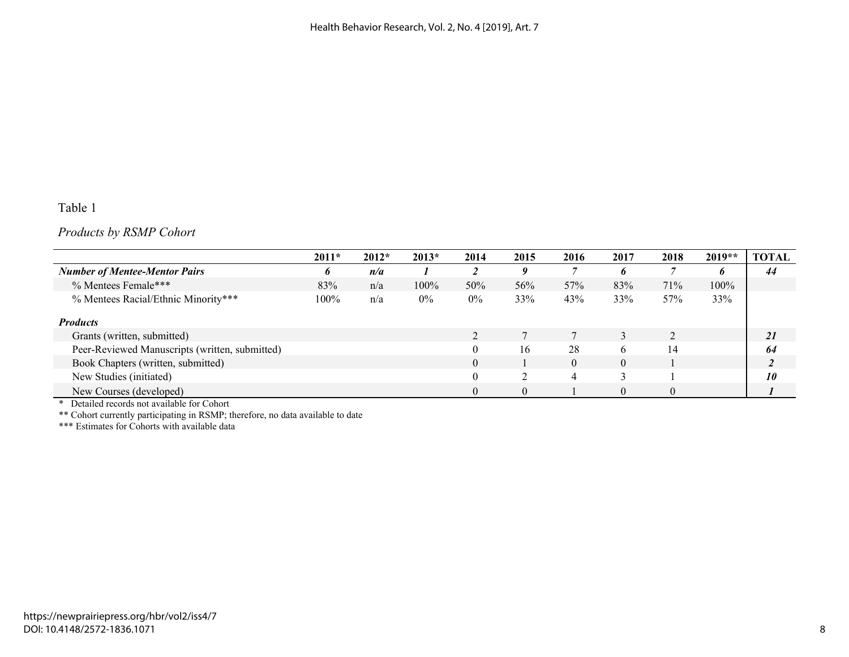# Table 1

# *Products by RSMP Cohort*

|                                                | $2011*$ | $2012*$ | $2013*$ | 2014      | 2015 | 2016     | 2017     | 2018     | $2019**$ | <b>TOTAL</b> |
|------------------------------------------------|---------|---------|---------|-----------|------|----------|----------|----------|----------|--------------|
| <b>Number of Mentee-Mentor Pairs</b>           | b.      | n/a     |         | ി         | 0    |          | n        |          | o        | 44           |
| % Mentees Female***                            | 83%     | n/a     | $100\%$ | 50%       | 56%  | 57%      | 83%      | 71%      | 100%     |              |
| % Mentees Racial/Ethnic Minority***            | 100%    | n/a     | $0\%$   | $0\%$     | 33%  | 43%      | 33%      | 57%      | 33%      |              |
| <b>Products</b>                                |         |         |         |           |      |          |          |          |          |              |
| Grants (written, submitted)                    |         |         |         | $\bigcap$ |      |          |          | ◠        |          | 21           |
| Peer-Reviewed Manuscripts (written, submitted) |         |         |         | $\Omega$  | 16   | 28       | h        | 14       |          | 64           |
| Book Chapters (written, submitted)             |         |         |         | $\Omega$  |      | $\Omega$ | $\theta$ |          |          |              |
| New Studies (initiated)                        |         |         |         | $\theta$  |      | 4        |          |          |          | 10           |
| New Courses (developed)                        |         |         |         | $\Omega$  |      |          | $\Omega$ | $\Omega$ |          |              |

\* Detailed records not available for Cohort

\*\* Cohort currently participating in RSMP; therefore, no data available to date

\*\*\* Estimates for Cohorts with available data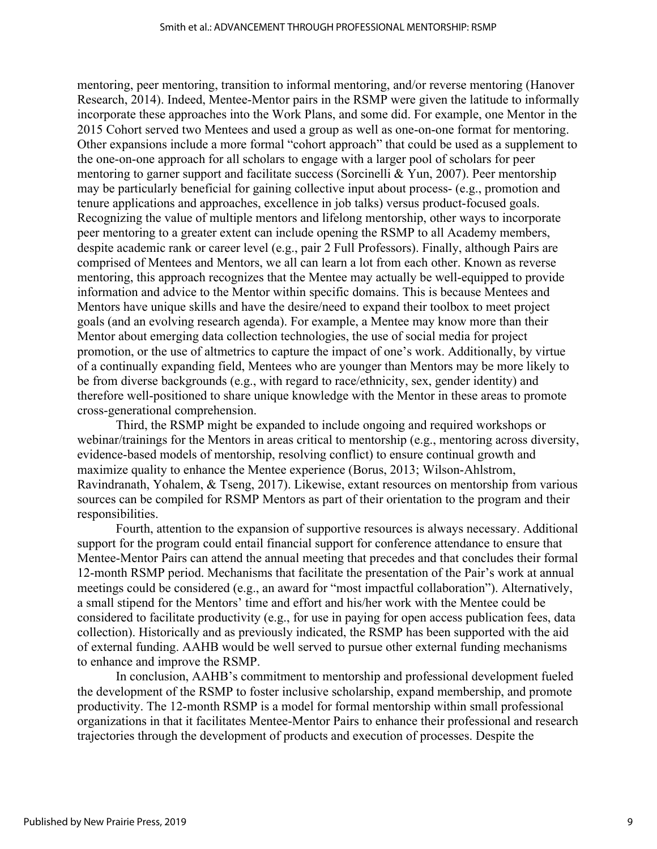mentoring, peer mentoring, transition to informal mentoring, and/or reverse mentoring (Hanover Research, 2014). Indeed, Mentee-Mentor pairs in the RSMP were given the latitude to informally incorporate these approaches into the Work Plans, and some did. For example, one Mentor in the 2015 Cohort served two Mentees and used a group as well as one-on-one format for mentoring. Other expansions include a more formal "cohort approach" that could be used as a supplement to the one-on-one approach for all scholars to engage with a larger pool of scholars for peer mentoring to garner support and facilitate success (Sorcinelli & Yun, 2007). Peer mentorship may be particularly beneficial for gaining collective input about process- (e.g., promotion and tenure applications and approaches, excellence in job talks) versus product-focused goals. Recognizing the value of multiple mentors and lifelong mentorship, other ways to incorporate peer mentoring to a greater extent can include opening the RSMP to all Academy members, despite academic rank or career level (e.g., pair 2 Full Professors). Finally, although Pairs are comprised of Mentees and Mentors, we all can learn a lot from each other. Known as reverse mentoring, this approach recognizes that the Mentee may actually be well-equipped to provide information and advice to the Mentor within specific domains. This is because Mentees and Mentors have unique skills and have the desire/need to expand their toolbox to meet project goals (and an evolving research agenda). For example, a Mentee may know more than their Mentor about emerging data collection technologies, the use of social media for project promotion, or the use of altmetrics to capture the impact of one's work. Additionally, by virtue of a continually expanding field, Mentees who are younger than Mentors may be more likely to be from diverse backgrounds (e.g., with regard to race/ethnicity, sex, gender identity) and therefore well-positioned to share unique knowledge with the Mentor in these areas to promote cross-generational comprehension.

Third, the RSMP might be expanded to include ongoing and required workshops or webinar/trainings for the Mentors in areas critical to mentorship (e.g., mentoring across diversity, evidence-based models of mentorship, resolving conflict) to ensure continual growth and maximize quality to enhance the Mentee experience (Borus, 2013; Wilson-Ahlstrom, Ravindranath, Yohalem, & Tseng, 2017). Likewise, extant resources on mentorship from various sources can be compiled for RSMP Mentors as part of their orientation to the program and their responsibilities.

Fourth, attention to the expansion of supportive resources is always necessary. Additional support for the program could entail financial support for conference attendance to ensure that Mentee-Mentor Pairs can attend the annual meeting that precedes and that concludes their formal 12-month RSMP period. Mechanisms that facilitate the presentation of the Pair's work at annual meetings could be considered (e.g., an award for "most impactful collaboration"). Alternatively, a small stipend for the Mentors' time and effort and his/her work with the Mentee could be considered to facilitate productivity (e.g., for use in paying for open access publication fees, data collection). Historically and as previously indicated, the RSMP has been supported with the aid of external funding. AAHB would be well served to pursue other external funding mechanisms to enhance and improve the RSMP.

In conclusion, AAHB's commitment to mentorship and professional development fueled the development of the RSMP to foster inclusive scholarship, expand membership, and promote productivity. The 12-month RSMP is a model for formal mentorship within small professional organizations in that it facilitates Mentee-Mentor Pairs to enhance their professional and research trajectories through the development of products and execution of processes. Despite the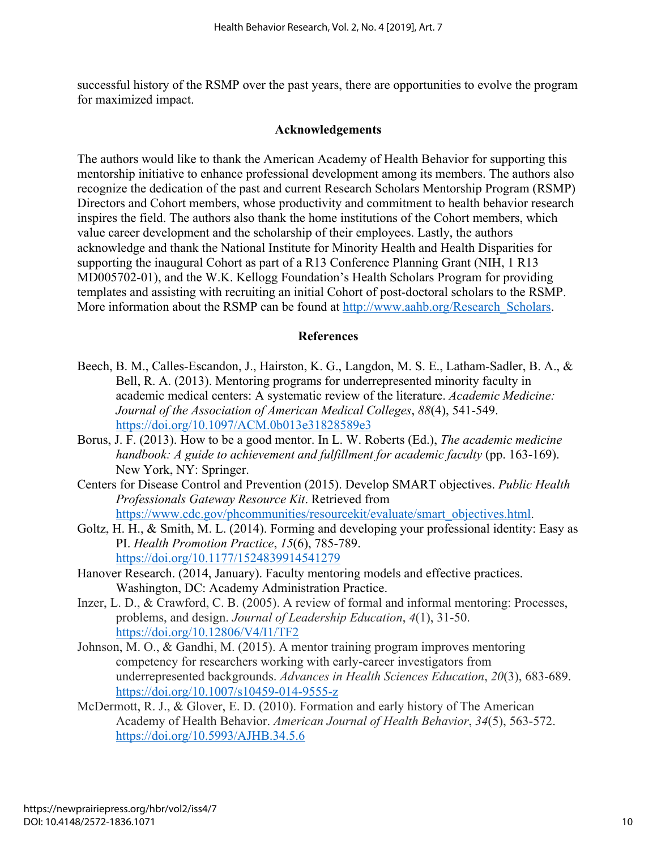successful history of the RSMP over the past years, there are opportunities to evolve the program for maximized impact.

#### **Acknowledgements**

The authors would like to thank the American Academy of Health Behavior for supporting this mentorship initiative to enhance professional development among its members. The authors also recognize the dedication of the past and current Research Scholars Mentorship Program (RSMP) Directors and Cohort members, whose productivity and commitment to health behavior research inspires the field. The authors also thank the home institutions of the Cohort members, which value career development and the scholarship of their employees. Lastly, the authors acknowledge and thank the National Institute for Minority Health and Health Disparities for supporting the inaugural Cohort as part of a R13 Conference Planning Grant (NIH, 1 R13 MD005702-01), and the W.K. Kellogg Foundation's Health Scholars Program for providing templates and assisting with recruiting an initial Cohort of post-doctoral scholars to the RSMP. More information about the RSMP can be found at [http://www.aahb.org/Research\\_Scholars.](http://www.aahb.org/Research_Scholars)

#### **References**

- Beech, B. M., Calles-Escandon, J., Hairston, K. G., Langdon, M. S. E., Latham-Sadler, B. A., & Bell, R. A. (2013). Mentoring programs for underrepresented minority faculty in academic medical centers: A systematic review of the literature. *Academic Medicine: Journal of the Association of American Medical Colleges*, *88*(4), 541-549. <https://doi.org/10.1097/ACM.0b013e31828589e3>
- Borus, J. F. (2013). How to be a good mentor. In L. W. Roberts (Ed.), *The academic medicine handbook: A guide to achievement and fulfillment for academic faculty* (pp. 163-169). New York, NY: Springer.
- Centers for Disease Control and Prevention (2015). Develop SMART objectives. *Public Health Professionals Gateway Resource Kit*. Retrieved from [https://www.cdc.gov/phcommunities/resourcekit/evaluate/smart\\_objectives.html.](https://www.cdc.gov/phcommunities/resourcekit/evaluate/smart_objectives.html)
- Goltz, H. H., & Smith, M. L. (2014). Forming and developing your professional identity: Easy as PI. *Health Promotion Practice*, *15*(6), 785-789. <https://doi.org/10.1177/1524839914541279>
- Hanover Research. (2014, January). Faculty mentoring models and effective practices. Washington, DC: Academy Administration Practice.
- Inzer, L. D., & Crawford, C. B. (2005). A review of formal and informal mentoring: Processes, problems, and design. *Journal of Leadership Education*, *4*(1), 31-50. <https://doi.org/10.12806/V4/I1/TF2>
- Johnson, M. O., & Gandhi, M. (2015). A mentor training program improves mentoring competency for researchers working with early-career investigators from underrepresented backgrounds. *Advances in Health Sciences Education*, *20*(3), 683-689. <https://doi.org/10.1007/s10459-014-9555-z>
- McDermott, R. J., & Glover, E. D. (2010). Formation and early history of The American Academy of Health Behavior. *American Journal of Health Behavior*, *34*(5), 563-572. <https://doi.org/10.5993/AJHB.34.5.6>